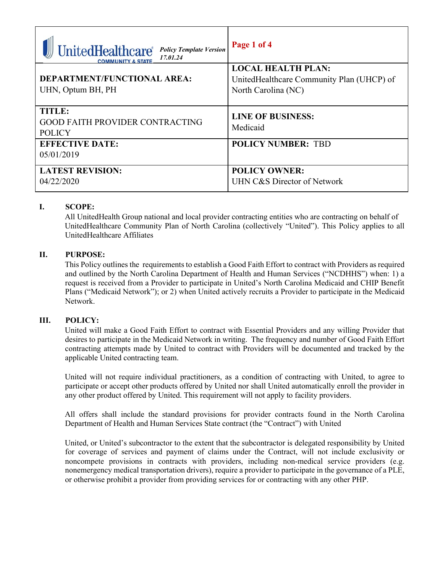| <b>UnitedHealthcare®</b><br><b>Policy Template Version</b><br>17.01.24 | Page 1 of 4                               |  |
|------------------------------------------------------------------------|-------------------------------------------|--|
| DEPARTMENT/FUNCTIONAL AREA:                                            | <b>LOCAL HEALTH PLAN:</b>                 |  |
|                                                                        | UnitedHealthcare Community Plan (UHCP) of |  |
| UHN, Optum BH, PH                                                      | North Carolina (NC)                       |  |
|                                                                        |                                           |  |
| <b>TITLE:</b>                                                          | <b>LINE OF BUSINESS:</b>                  |  |
| <b>GOOD FAITH PROVIDER CONTRACTING</b>                                 |                                           |  |
| <b>POLICY</b>                                                          | Medicaid                                  |  |
| <b>EFFECTIVE DATE:</b>                                                 | <b>POLICY NUMBER: TBD</b>                 |  |
| 05/01/2019                                                             |                                           |  |
|                                                                        |                                           |  |
| <b>LATEST REVISION:</b>                                                | <b>POLICY OWNER:</b>                      |  |
| 04/22/2020                                                             | UHN C&S Director of Network               |  |
|                                                                        |                                           |  |

# **I. SCOPE:**

All UnitedHealth Group national and local provider contracting entities who are contracting on behalf of UnitedHealthcare Community Plan of North Carolina (collectively "United"). This Policy applies to all UnitedHealthcare Affiliates

### **II. PURPOSE:**

This Policy outlines the requirements to establish a Good Faith Effort to contract with Providers as required and outlined by the North Carolina Department of Health and Human Services ("NCDHHS") when: 1) a request is received from a Provider to participate in United's North Carolina Medicaid and CHIP Benefit Plans ("Medicaid Network"); or 2) when United actively recruits a Provider to participate in the Medicaid Network.

## **III. POLICY:**

United will make a Good Faith Effort to contract with Essential Providers and any willing Provider that desires to participate in the Medicaid Network in writing. The frequency and number of Good Faith Effort contracting attempts made by United to contract with Providers will be documented and tracked by the applicable United contracting team.

United will not require individual practitioners, as a condition of contracting with United, to agree to participate or accept other products offered by United nor shall United automatically enroll the provider in any other product offered by United. This requirement will not apply to facility providers.

All offers shall include the standard provisions for provider contracts found in the North Carolina Department of Health and Human Services State contract (the "Contract") with United

United, or United's subcontractor to the extent that the subcontractor is delegated responsibility by United for coverage of services and payment of claims under the Contract, will not include exclusivity or noncompete provisions in contracts with providers, including non-medical service providers (e.g. nonemergency medical transportation drivers), require a provider to participate in the governance of a PLE, or otherwise prohibit a provider from providing services for or contracting with any other PHP.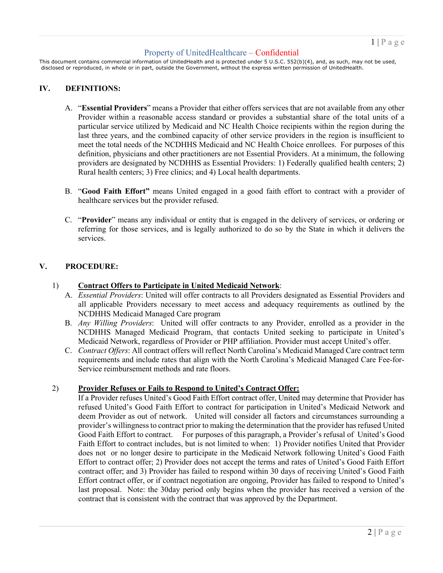# Property of UnitedHealthcare – Confidential

This document contains commercial information of UnitedHealth and is protected under 5 U.S.C. 552(b)(4), and, as such, may not be used, disclosed or reproduced, in whole or in part, outside the Government, without the express written permission of UnitedHealth.

#### **IV. DEFINITIONS:**

- A. "**Essential Providers**" means a Provider that either offers services that are not available from any other Provider within a reasonable access standard or provides a substantial share of the total units of a particular service utilized by Medicaid and NC Health Choice recipients within the region during the last three years, and the combined capacity of other service providers in the region is insufficient to meet the total needs of the NCDHHS Medicaid and NC Health Choice enrollees. For purposes of this definition, physicians and other practitioners are not Essential Providers. At a minimum, the following providers are designated by NCDHHS as Essential Providers: 1) Federally qualified health centers; 2) Rural health centers; 3) Free clinics; and 4) Local health departments.
- B. "**Good Faith Effort"** means United engaged in a good faith effort to contract with a provider of healthcare services but the provider refused.
- C. "**Provider**" means any individual or entity that is engaged in the delivery of services, or ordering or referring for those services, and is legally authorized to do so by the State in which it delivers the services.

## **V. PROCEDURE:**

#### 1) **Contract Offers to Participate in United Medicaid Network**:

- A. *Essential Providers*: United will offer contracts to all Providers designated as Essential Providers and all applicable Providers necessary to meet access and adequacy requirements as outlined by the NCDHHS Medicaid Managed Care program
- B. *Any Willing Providers*: United will offer contracts to any Provider, enrolled as a provider in the NCDHHS Managed Medicaid Program, that contacts United seeking to participate in United's Medicaid Network, regardless of Provider or PHP affiliation. Provider must accept United's offer.
- C. *Contract Offers*: All contract offers will reflect North Carolina's Medicaid Managed Care contract term requirements and include rates that align with the North Carolina's Medicaid Managed Care Fee-for-Service reimbursement methods and rate floors.

#### 2) **Provider Refuses or Fails to Respond to United's Contract Offer:**

If a Provider refuses United's Good Faith Effort contract offer, United may determine that Provider has refused United's Good Faith Effort to contract for participation in United's Medicaid Network and deem Provider as out of network. United will consider all factors and circumstances surrounding a provider's willingness to contract prior to making the determination that the provider has refused United Good Faith Effort to contract. For purposes of this paragraph, a Provider's refusal of United's Good Faith Effort to contract includes, but is not limited to when: 1) Provider notifies United that Provider does not or no longer desire to participate in the Medicaid Network following United's Good Faith Effort to contract offer; 2) Provider does not accept the terms and rates of United's Good Faith Effort contract offer; and 3) Provider has failed to respond within 30 days of receiving United's Good Faith Effort contract offer, or if contract negotiation are ongoing, Provider has failed to respond to United's last proposal. Note: the 30day period only begins when the provider has received a version of the contract that is consistent with the contract that was approved by the Department.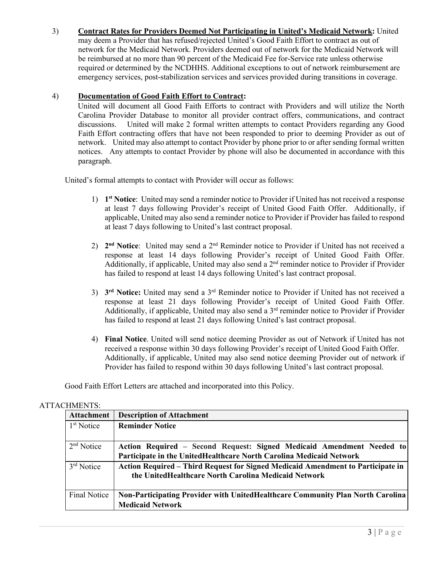3) **Contract Rates for Providers Deemed Not Participating in United's Medicaid Network:** United

may deem a Provider that has refused/rejected United's Good Faith Effort to contract as out of network for the Medicaid Network. Providers deemed out of network for the Medicaid Network will be reimbursed at no more than 90 percent of the Medicaid Fee for-Service rate unless otherwise required or determined by the NCDHHS. Additional exceptions to out of network reimbursement are emergency services, post-stabilization services and services provided during transitions in coverage.

### 4) **Documentation of Good Faith Effort to Contract:**

United will document all Good Faith Efforts to contract with Providers and will utilize the North Carolina Provider Database to monitor all provider contract offers, communications, and contract discussions. United will make 2 formal written attempts to contact Providers regarding any Good Faith Effort contracting offers that have not been responded to prior to deeming Provider as out of network. United may also attempt to contact Provider by phone prior to or after sending formal written notices. Any attempts to contact Provider by phone will also be documented in accordance with this paragraph.

United's formal attempts to contact with Provider will occur as follows:

- 1) **1st Notice**: United may send a reminder notice to Provider if United has not received a response at least 7 days following Provider's receipt of United Good Faith Offer. Additionally, if applicable, United may also send a reminder notice to Provider if Provider has failed to respond at least 7 days following to United's last contract proposal.
- 2) **2nd Notice**: United may send a 2nd Reminder notice to Provider if United has not received a response at least 14 days following Provider's receipt of United Good Faith Offer. Additionally, if applicable, United may also send a  $2<sup>nd</sup>$  reminder notice to Provider if Provider has failed to respond at least 14 days following United's last contract proposal.
- 3) **3rd Notice:** United may send a 3rd Reminder notice to Provider if United has not received a response at least 21 days following Provider's receipt of United Good Faith Offer. Additionally, if applicable, United may also send a 3<sup>rd</sup> reminder notice to Provider if Provider has failed to respond at least 21 days following United's last contract proposal.
- 4) **Final Notice**. United will send notice deeming Provider as out of Network if United has not received a response within 30 days following Provider's receipt of United Good Faith Offer. Additionally, if applicable, United may also send notice deeming Provider out of network if Provider has failed to respond within 30 days following United's last contract proposal.

Good Faith Effort Letters are attached and incorporated into this Policy.

#### ATTACHMENTS:

| <b>Attachment</b>      | <b>Description of Attachment</b>                                                                                                             |  |
|------------------------|----------------------------------------------------------------------------------------------------------------------------------------------|--|
| 1 <sup>st</sup> Notice | <b>Reminder Notice</b>                                                                                                                       |  |
| 2 <sup>nd</sup> Notice | Action Required - Second Request: Signed Medicaid Amendment Needed to<br>Participate in the UnitedHealthcare North Carolina Medicaid Network |  |
| 3rd Notice             | Action Required – Third Request for Signed Medicaid Amendment to Participate in<br>the UnitedHealthcare North Carolina Medicaid Network      |  |
| <b>Final Notice</b>    | Non-Participating Provider with UnitedHealthcare Community Plan North Carolina<br><b>Medicaid Network</b>                                    |  |